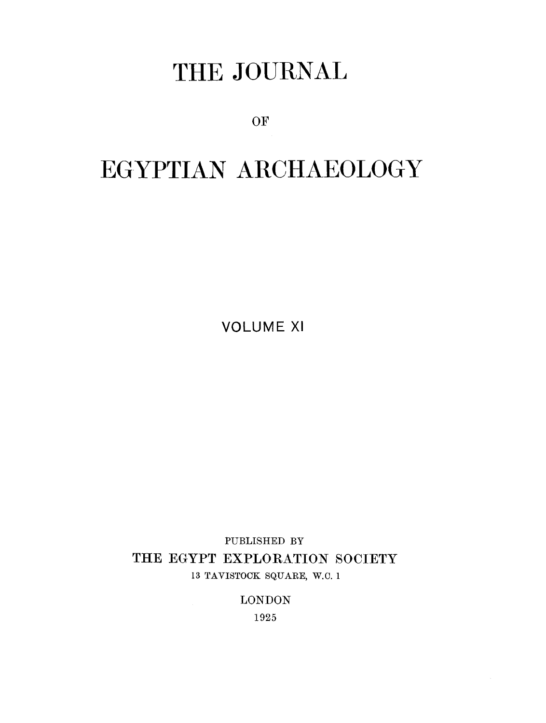# THE JOURNAL

OF

# EGYPTIAN ARCHAEOLOGY

VOLUME XI

**PUBLISHED BY**  THE EGYPT EXPLORATION SOCIETY 13 TAVISTOCK SQUARE, W.O. 1

LONDON

1925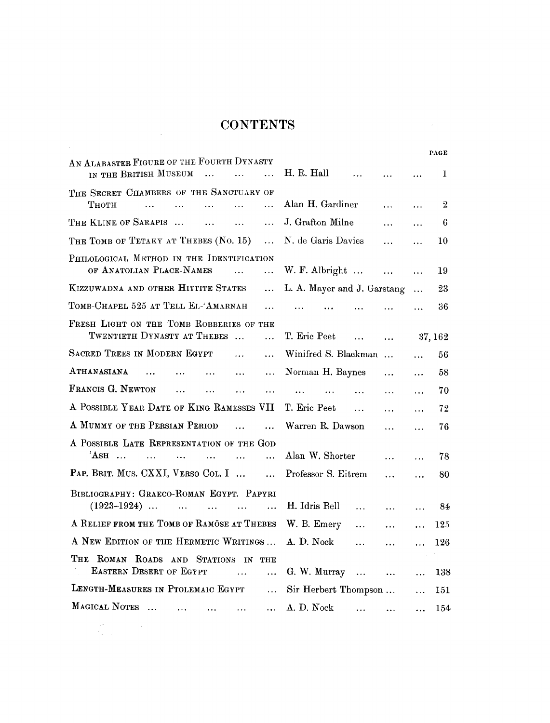## **CONTENTS**

 $\label{eq:2.1} \frac{1}{\sqrt{2}}\int_{0}^{\infty}\frac{1}{\sqrt{2\pi}}\left(\frac{1}{\sqrt{2\pi}}\right)^{2}d\mu\,d\mu\,.$ 

| AN ALABASTER FIGURE OF THE FOURTH DYNASTY<br>IN THE BRITISH MUSEUM<br>$\dddotsc$<br>$\cdots$                             | H. R. Hall<br>$\sim 100$<br>$\ldots$        |           | $\cdots$              | 1            |
|--------------------------------------------------------------------------------------------------------------------------|---------------------------------------------|-----------|-----------------------|--------------|
| THE SECRET CHAMBERS OF THE SANCTUARY OF                                                                                  |                                             |           |                       |              |
| Тнотн<br>$\dddotsc$<br>$\mathbf{r}$ and $\mathbf{r}$ and $\mathbf{r}$<br>$\ddotsc$<br>$\ddotsc$<br>$\dddot{\phantom{0}}$ | Alan H. Gardiner                            | $\ddotsc$ | $\ddotsc$             | $\mathbf{2}$ |
| THE KLINE OF SARAPIS<br>$\mathbf{1}$ , and $\mathbf{1}$ , and $\mathbf{1}$ , and $\mathbf{1}$<br>$\ddots$                | J. Grafton Milne                            | $\ddotsc$ | $\cdots$              | 6            |
| THE TOMB OF TETAKY AT THEBES (No. 15)<br>$\ddotsc$                                                                       | N. de Garis Davies                          | $\cdots$  | $\ddotsc$             | 10           |
| PHILOLOGICAL METHOD IN THE IDENTIFICATION<br>OF ANATOLIAN PLACE-NAMES<br>$\ddotsc$<br>$\ddotsc$                          | W. F. Albright $\dots$ $\dots$              |           | $\ddotsc$             | 19           |
| KIZZUWADNA AND OTHER HITTITE STATES<br>$\ddotsc$                                                                         | L. A. Mayer and J. Garstang                 |           | $\ddotsc$             | 23           |
| TOMB-CHAPEL 525 AT TELL EL-'AMARNAH<br>$\dddotsc$                                                                        | $\cdots$<br>$\cdots$<br>$\cdots$            | $\ddotsc$ | $\ddotsc$             | 36           |
| FRESH LIGHT ON THE TOMB ROBBERIES OF THE<br>TWENTIETH DYNASTY AT THEBES<br>$\dddot{\phantom{0}}$                         | T. Eric Peet<br>$\cdots$                    | $\ddotsc$ | 37, 162               |              |
| SACRED TREES IN MODERN EGYPT<br>$\dddotsc$<br>$\ddotsc$                                                                  | Winifred S. Blackman                        |           | $\ddotsc$             | 56           |
| ATHANASIANA<br>$\cdots$<br>$\ddotsc$<br>$\ddotsc$                                                                        | Norman H. Baynes                            | $\cdots$  | $\dddot{\phantom{0}}$ | 58           |
| FRANCIS G. NEWTON<br>$\dddotsc$<br>$\ddotsc$<br>$\ddotsc$<br>$\cdots$                                                    | <b>ARTICLE AND LONG</b><br>$\cdots$         | $\cdots$  | $\ddotsc$             | 70           |
| A POSSIBLE YEAR DATE OF KING RAMESSES VII                                                                                | T. Eric Peet<br>$\mathbf{1}$ , $\mathbf{1}$ | $\cdots$  | $\ddotsc$             | 72           |
| A MUMMY OF THE PERSIAN PERIOD<br>$\sim$ $\sim$ $\sim$ $\sim$<br>$\ddotsc$                                                | Warren R. Dawson                            | $\cdots$  | $\cdots$              | 76           |
| A POSSIBLE LATE REPRESENTATION OF THE GOD<br>$'AsH$<br>$\dddotsc$<br>$\ddotsc$<br>.                                      | Alan W. Shorter                             | $\ddotsc$ | .                     | 78           |
| PAP. BRIT. MUS. CXXI, VERSO COL. I<br>$\ddotsc$                                                                          | Professor S. Eitrem                         | .         | $\ddotsc$             | 80           |
| BIBLIOGRAPHY: GRAECO-ROMAN EGYPT. PAPYRI                                                                                 |                                             |           |                       |              |
| $(1923-1924)$<br>$\ddotsc$<br>$\ddotsc$                                                                                  | H. Idris Bell<br>$\cdots$                   | $\cdots$  | $\dddotsc$            | - 84         |
| A RELIEF FROM THE TOMB OF RAMOSE AT THEBES                                                                               | W. B. Emery<br>.                            | $\cdots$  | $\ddotsc$             | 125          |
| A NEW EDITION OF THE HERMETIC WRITINGS                                                                                   | A. D. Nock<br>$\cdots$                      | $\cdots$  | $\ddotsc$             | 126          |
| THE ROMAN ROADS AND STATIONS IN THE<br><b>EASTERN DESERT OF EGYPT</b><br>$\ddotsc$<br>$\ddotsc$                          | G. W. Murray $\dots$                        | $\ddotsc$ | $\ddotsc$             | 138          |
| LENGTH-MEASURES IN PTOLEMAIC EGYPT<br>$\dddotsc$                                                                         | Sir Herbert Thompson                        |           | $\ddotsc$             | 151          |
| MAGICAL NOTES<br>$\dddot{\phantom{0}}$<br>$\ddotsc$<br>$\cdots$                                                          | A. D. Nock<br>$\cdots$                      | $\cdots$  |                       | 154          |
|                                                                                                                          |                                             |           |                       |              |

**PAGE** 

 $\sim 10^{11}$  km s  $^{-1}$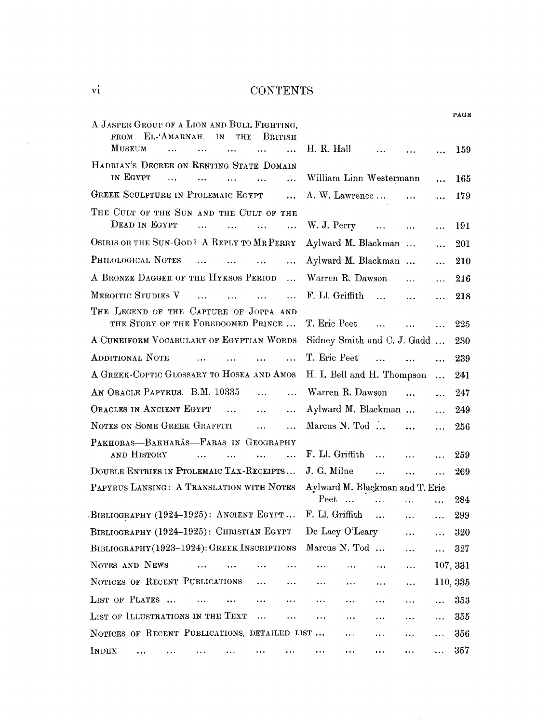### **VI** CONTENTS

| A JASPER GROUP OF A LION AND BULL FIGHTING,                                                                                       |                                                                       |                            |          |
|-----------------------------------------------------------------------------------------------------------------------------------|-----------------------------------------------------------------------|----------------------------|----------|
| EL-'AMARNAH,<br>$\mathbf{IN}$<br><b>THE</b><br>BRITISH<br><b>FROM</b><br><b>MUSEUM</b><br>$\cdots$<br>$\ddotsc$<br>$\ddotsc$<br>. | H. R. Hall<br>$\dddotsc$                                              |                            | 159      |
| HADRIAN'S DECREE ON RENTING STATE DOMAIN                                                                                          |                                                                       |                            |          |
| IN EGYPT<br>.<br>$\ddotsc$<br>$\ddotsc$<br>$\ddotsc$                                                                              | William Linn Westermann                                               | $\ddotsc$                  | 165      |
| GREEK SCULPTURE IN PTOLEMAIC EGYPT<br>$\ddotsc$                                                                                   | A. W. Lawrence                                                        | $\ddotsc$                  | 179      |
| THE CULT OF THE SUN AND THE CULT OF THE                                                                                           |                                                                       |                            |          |
| DEAD IN EGYPT<br>$\dddotsc$<br>$\ddotsc$<br>$\ddotsc$                                                                             | W. J. Perry                                                           | $\cdots$<br>$\ddotsc$      | 191      |
| OSIRIS OR THE SUN-GOD? A REPLY TO MR PERRY                                                                                        | Aylward M. Blackman                                                   | .                          | 201      |
| PHILOLOGICAL NOTES<br>$\ddotsc$<br>$\mathbf{1}$ , and $\mathbf{1}$<br>$\ddotsc$<br>$\cdots$                                       | Aylward M. Blackman                                                   |                            | 210      |
| A BRONZE DAGGER OF THE HYKSOS PERIOD<br>$\ddotsc$                                                                                 | Warren R. Dawson                                                      | $\cdots$<br>$\ddotsc$      | 216      |
| MEROITIC STUDIES V<br>$\ddot{\phantom{a}}$<br>$\ddotsc$<br>$\ddotsc$                                                              | F. Ll. Griffith<br>$\mathbf{r}$ . The same $\mathbf{r}$               | $\cdots$<br>$\ddotsc$      | 218      |
| THE LEGEND OF THE CAPTURE OF JOPPA AND                                                                                            |                                                                       |                            |          |
| THE STORY OF THE FOREDOOMED PRINCE                                                                                                | T. Eric Peet<br>and the contract of the                               | $\dddot{\phantom{0}}$      | 225      |
| A CUNEIFORM VOCABULARY OF EGYPTIAN WORDS                                                                                          | Sidney Smith and C. J. Gadd                                           |                            | 230      |
| ADDITIONAL NOTE<br>$\cdots$<br>$\ddotsc$<br>$\ddotsc$                                                                             | T. Eric Peet<br>$\mathcal{L}$ and $\mathcal{L}$ are all $\mathcal{L}$ | $\ddotsc$                  | 239      |
| A GREEK-COPTIC GLOSSARY TO HOSEA AND AMOS                                                                                         | H. I. Bell and H. Thompson                                            | $\ddotsc$                  | 241      |
| AN ORACLE PAPYRUS. B.M. 10335<br>$\ddotsc$<br>$\cdots$                                                                            | Warren R. Dawson                                                      | $\mathbf{a}$<br>$\dddotsc$ | 247      |
| ORACLES IN ANCIENT EGYPT<br>$\ddotsc$<br>.                                                                                        | Aylward M. Blackman                                                   | .                          | 249      |
| NOTES ON SOME GREEK GRAFFITI<br>$\cdots$<br>.                                                                                     | Marcus N. Tod $\dots$                                                 | $\cdots$<br>$\cdots$       | 256      |
| PAKHORAS-BAKHARÂS-FARAS IN GEOGRAPHY                                                                                              |                                                                       |                            |          |
| AND HISTORY<br>$\sim$ $\sim$<br>$\ddotsc$<br>$\ddotsc$<br>$\ddotsc$                                                               | F. Ll. Griffith<br><b>Contract</b>                                    | $\dddotsc$                 | 259      |
| DOUBLE ENTRIES IN PTOLEMAIC TAX-RECEIPTS                                                                                          | J. G. Milne<br>$\cdots$                                               | $\ddotsc$<br>$\ddotsc$     | 269      |
| PAPYRUS LANSING: A TRANSLATION WITH NOTES                                                                                         | Aylward M. Blackman and T. Eric                                       |                            |          |
|                                                                                                                                   | $Peet$<br>$\ddotsc$                                                   | $\cdots$<br>$\ddotsc$      | 284      |
| BIBLIOGRAPHY (1924-1925): ANCIENT EGYPT                                                                                           | F. Ll. Griffith                                                       | $\cdots$<br>.              | 299      |
| BIBLIOGRAPHY (1924-1925): CHRISTIAN EGYPT                                                                                         | De Lacy O'Leary                                                       | $\cdots$<br>$\ddotsc$      | 320      |
| BIBLIOGRAPHY(1923-1924): GREEK INSCRIPTIONS Marcus N. Tod                                                                         |                                                                       |                            | 327      |
| NOTES AND NEWS                                                                                                                    |                                                                       | .                          | 107, 331 |
| NOTICES OF RECENT PUBLICATIONS<br>$\ddotsc$<br>$\cdots$                                                                           | $\ddotsc$<br>$\ldots$<br>$\cdots$                                     | $\ldots$                   | 110, 335 |
| LIST OF PLATES                                                                                                                    | .                                                                     |                            | 353      |
| LIST OF ILLUSTRATIONS IN THE TEXT<br>.<br>$\cdots$                                                                                | $\ldots$<br>$\ldots$                                                  |                            | 355      |
| NOTICES OF RECENT PUBLICATIONS, DETAILED LIST                                                                                     |                                                                       |                            | 356      |
| INDEX                                                                                                                             | $\ddotsc$<br>$\cdots$<br>$\ddotsc$                                    | .                          | 357      |

 $\sim 10^{-1}$ 

 $\mathcal{L}_{\text{eff}}$ 

 $\mathcal{L}_{\text{max}}$ 

**PAGE** 

 $\bar{\beta}$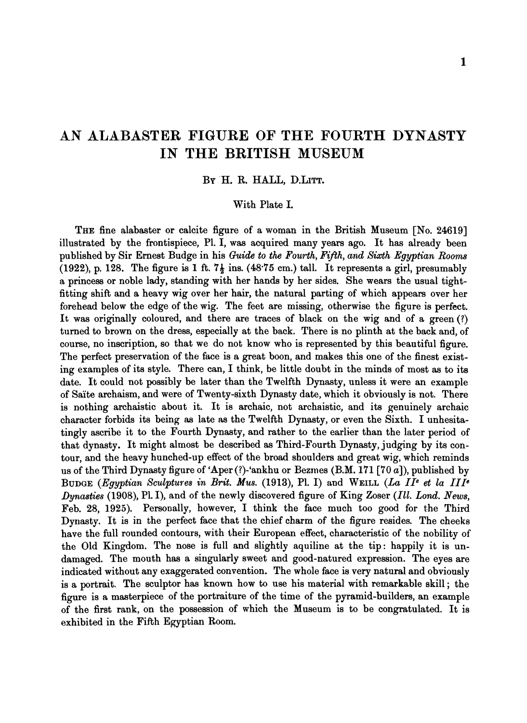## **AN ALABASTER FIGURE OF THE FOURTH DYNASTY IN THE BRITISH MUSEUM**

### **BY** H. R. HALL, D.LITT.

### With Plate I.

THE fine alabaster or calcite figure of a woman in the British Museum [No. 24619] illustrated by the frontispiece, P1. I, was acquired many years ago. It has already been published by Sir Ernest Budge in his Guide to the Fourth, Fifth, and Sixth Egyptian Rooms (1922), p. 128. The figure **is** 1ft. **79** ins. (48.75 cm.) tall. It represents a girl, presumably a princess or noble lady, standing with her hands by her sides. She wears the usual tightfitting shift and a heavy wig over her hair, the natural parting of which appears over her forehead below the edge of the wig. The feet are missing, otherwise the figure is perfect. It was originally coloured, and there are traces of black on the wig and of a green (?) tuned to brown on the dress, especially at the back. There is no plinth at the back and, of course, no inscription, so that we do not know who is represented by this beautiful figure. The perfect preservation of the face is a great boon, and makes this one of the finest existing examples of its style. There can, I think, be little doubt in the minds of most as to its date. It could not possibly be later than the Twelfth Dynasty, unless it were an example of Salte archaism, and were of Twenty-sixth Dynasty date, which it obviously is not. There is nothing archaistic about it. It is archaic, not archaistic, and its genuinely archaic character forbids its being **as** late as the Twelfth Dynasty, or even the Sixth. I unhesitatingly ascribe it to the Fourth Dynasty, and rather to the earlier than the later period of that dynasty. It might almost be described as Third-Fourth Dynasty, judging by its contour, and the heavy hunched-up effect of the broad shoulders and great wig, which reminds us of the Third Dynasty figure of 'Aper  $(?)$ -'ankhu or Bezmes  $(B.M. 171 [70 a])$ , published by BUDGE (Egyptian Sculptures in Brit. Mus. (1913), Pl. I) and WEILL (La II<sup>e</sup> et la III<sup>e</sup> Dynasties (1908), Pl. I), and of the newly discovered figure of King Zoser (Ill. Lond. News, Feb. 28, 1925). Personally, however, I think the face much too good for the Third Dynasty. It is in the perfect face that the chief charm of the figure resides. The cheeks have the full rounded contours, with their European effect, characteristic of the nobility of the Old Kingdom. The nose is full and slightly aquiline at the tip: happily it is undamaged. The mouth has a singularly sweet and good-natured expression. The eyes are indicated without any exaggerated convention. The whole face is very natural and obviously is a portrait. The sculptor has known how to use his material with remarkable skill ; the figure is a masterpiece of the portraiture of the time of the pyramid-builders, an example of the first rank, on the possession of which the Museum is to be congratulated. It is exhibited in the Fifth Egyptian Room.